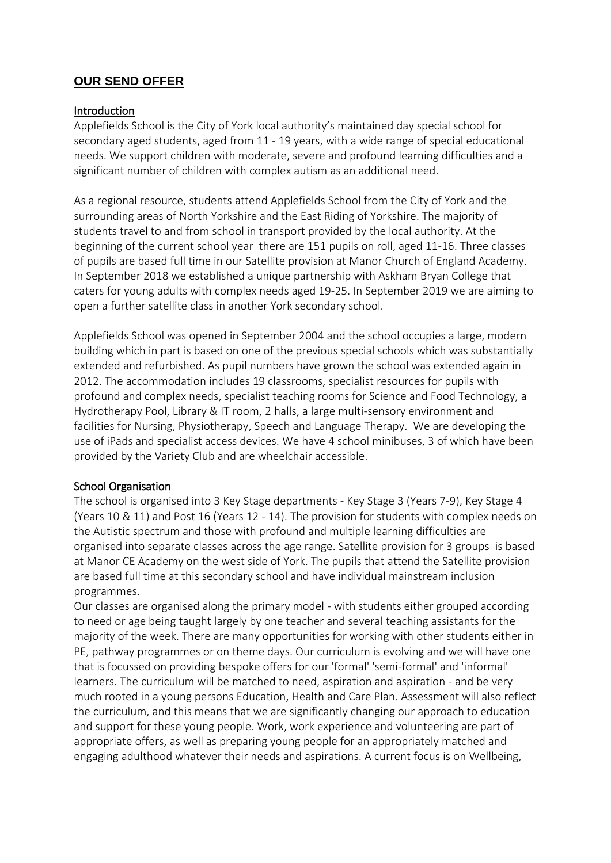# **OUR SEND OFFER**

### Introduction

Applefields School is the City of York local authority's maintained day special school for secondary aged students, aged from 11 - 19 years, with a wide range of special educational needs. We support children with moderate, severe and profound learning difficulties and a significant number of children with complex autism as an additional need.

As a regional resource, students attend Applefields School from the City of York and the surrounding areas of North Yorkshire and the East Riding of Yorkshire. The majority of students travel to and from school in transport provided by the local authority. At the beginning of the current school year there are 151 pupils on roll, aged 11-16. Three classes of pupils are based full time in our Satellite provision at Manor Church of England Academy. In September 2018 we established a unique partnership with Askham Bryan College that caters for young adults with complex needs aged 19-25. In September 2019 we are aiming to open a further satellite class in another York secondary school.

Applefields School was opened in September 2004 and the school occupies a large, modern building which in part is based on one of the previous special schools which was substantially extended and refurbished. As pupil numbers have grown the school was extended again in 2012. The accommodation includes 19 classrooms, specialist resources for pupils with profound and complex needs, specialist teaching rooms for Science and Food Technology, a Hydrotherapy Pool, Library & IT room, 2 halls, a large multi-sensory environment and facilities for Nursing, Physiotherapy, Speech and Language Therapy. We are developing the use of iPads and specialist access devices. We have 4 school minibuses, 3 of which have been provided by the Variety Club and are wheelchair accessible.

### School Organisation

The school is organised into 3 Key Stage departments - Key Stage 3 (Years 7-9), Key Stage 4 (Years 10 & 11) and Post 16 (Years 12 - 14). The provision for students with complex needs on the Autistic spectrum and those with profound and multiple learning difficulties are organised into separate classes across the age range. Satellite provision for 3 groups is based at Manor CE Academy on the west side of York. The pupils that attend the Satellite provision are based full time at this secondary school and have individual mainstream inclusion programmes.

Our classes are organised along the primary model - with students either grouped according to need or age being taught largely by one teacher and several teaching assistants for the majority of the week. There are many opportunities for working with other students either in PE, pathway programmes or on theme days. Our curriculum is evolving and we will have one that is focussed on providing bespoke offers for our 'formal' 'semi-formal' and 'informal' learners. The curriculum will be matched to need, aspiration and aspiration - and be very much rooted in a young persons Education, Health and Care Plan. Assessment will also reflect the curriculum, and this means that we are significantly changing our approach to education and support for these young people. Work, work experience and volunteering are part of appropriate offers, as well as preparing young people for an appropriately matched and engaging adulthood whatever their needs and aspirations. A current focus is on Wellbeing,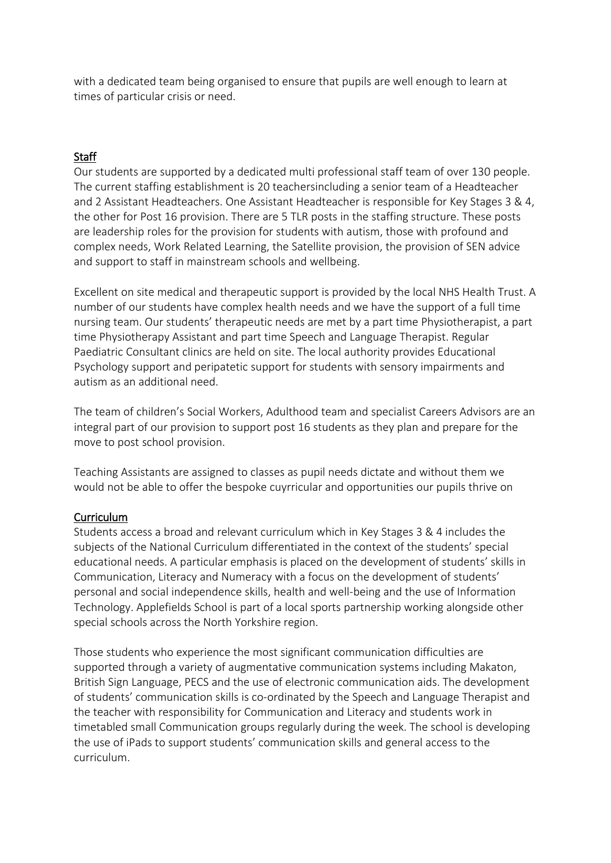with a dedicated team being organised to ensure that pupils are well enough to learn at times of particular crisis or need.

# **Staff**

Our students are supported by a dedicated multi professional staff team of over 130 people. The current staffing establishment is 20 teachersincluding a senior team of a Headteacher and 2 Assistant Headteachers. One Assistant Headteacher is responsible for Key Stages 3 & 4, the other for Post 16 provision. There are 5 TLR posts in the staffing structure. These posts are leadership roles for the provision for students with autism, those with profound and complex needs, Work Related Learning, the Satellite provision, the provision of SEN advice and support to staff in mainstream schools and wellbeing.

Excellent on site medical and therapeutic support is provided by the local NHS Health Trust. A number of our students have complex health needs and we have the support of a full time nursing team. Our students' therapeutic needs are met by a part time Physiotherapist, a part time Physiotherapy Assistant and part time Speech and Language Therapist. Regular Paediatric Consultant clinics are held on site. The local authority provides Educational Psychology support and peripatetic support for students with sensory impairments and autism as an additional need.

The team of children's Social Workers, Adulthood team and specialist Careers Advisors are an integral part of our provision to support post 16 students as they plan and prepare for the move to post school provision.

Teaching Assistants are assigned to classes as pupil needs dictate and without them we would not be able to offer the bespoke cuyrricular and opportunities our pupils thrive on

## Curriculum

Students access a broad and relevant curriculum which in Key Stages 3 & 4 includes the subjects of the National Curriculum differentiated in the context of the students' special educational needs. A particular emphasis is placed on the development of students' skills in Communication, Literacy and Numeracy with a focus on the development of students' personal and social independence skills, health and well-being and the use of Information Technology. Applefields School is part of a local sports partnership working alongside other special schools across the North Yorkshire region.

Those students who experience the most significant communication difficulties are supported through a variety of augmentative communication systems including Makaton, British Sign Language, PECS and the use of electronic communication aids. The development of students' communication skills is co-ordinated by the Speech and Language Therapist and the teacher with responsibility for Communication and Literacy and students work in timetabled small Communication groups regularly during the week. The school is developing the use of iPads to support students' communication skills and general access to the curriculum.